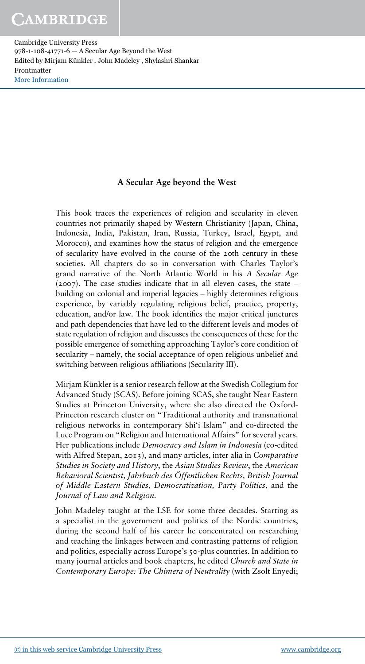### A Secular Age beyond the West

This book traces the experiences of religion and secularity in eleven countries not primarily shaped by Western Christianity (Japan, China, Indonesia, India, Pakistan, Iran, Russia, Turkey, Israel, Egypt, and Morocco), and examines how the status of religion and the emergence of secularity have evolved in the course of the 20th century in these societies. All chapters do so in conversation with Charles Taylor's grand narrative of the North Atlantic World in his A Secular Age (2007). The case studies indicate that in all eleven cases, the state – building on colonial and imperial legacies – highly determines religious experience, by variably regulating religious belief, practice, property, education, and/or law. The book identifies the major critical junctures and path dependencies that have led to the different levels and modes of state regulation of religion and discusses the consequences of these for the possible emergence of something approaching Taylor's core condition of secularity – namely, the social acceptance of open religious unbelief and switching between religious affiliations (Secularity III).

Mirjam Künkler is a senior research fellow at the Swedish Collegium for Advanced Study (SCAS). Before joining SCAS, she taught Near Eastern Studies at Princeton University, where she also directed the Oxford-Princeton research cluster on "Traditional authority and transnational religious networks in contemporary Shi'i Islam" and co-directed the Luce Program on "Religion and International Affairs" for several years. Her publications include Democracy and Islam in Indonesia (co-edited with Alfred Stepan, 2013), and many articles, inter alia in Comparative Studies in Society and History, the Asian Studies Review, the American Behavioral Scientist, Jahrbuch des Öffentlichen Rechts, British Journal of Middle Eastern Studies, Democratization, Party Politics, and the Journal of Law and Religion.

John Madeley taught at the LSE for some three decades. Starting as a specialist in the government and politics of the Nordic countries, during the second half of his career he concentrated on researching and teaching the linkages between and contrasting patterns of religion and politics, especially across Europe's 50-plus countries. In addition to many journal articles and book chapters, he edited Church and State in Contemporary Europe: The Chimera of Neutrality (with Zsolt Enyedi;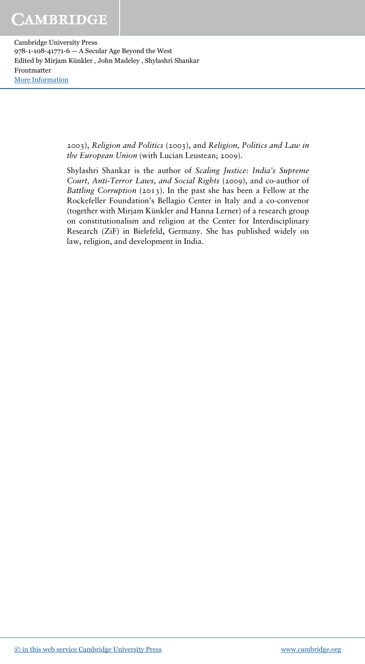> 2003), Religion and Politics (2003), and Religion, Politics and Law in the European Union (with Lucian Leustean; 2009).

> Shylashri Shankar is the author of Scaling Justice: India's Supreme Court, Anti-Terror Laws, and Social Rights (2009), and co-author of Battling Corruption (2013). In the past she has been a Fellow at the Rockefeller Foundation's Bellagio Center in Italy and a co-convenor (together with Mirjam Künkler and Hanna Lerner) of a research group on constitutionalism and religion at the Center for Interdisciplinary Research (ZiF) in Bielefeld, Germany. She has published widely on law, religion, and development in India.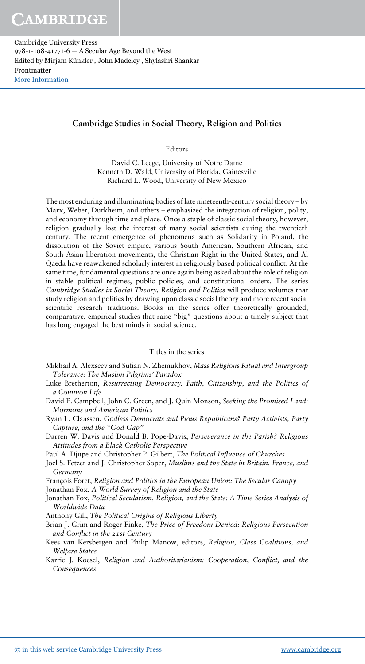#### Cambridge Studies in Social Theory, Religion and Politics

Editors

David C. Leege, University of Notre Dame Kenneth D. Wald, University of Florida, Gainesville Richard L. Wood, University of New Mexico

The most enduring and illuminating bodies of late nineteenth-century social theory – by Marx, Weber, Durkheim, and others – emphasized the integration of religion, polity, and economy through time and place. Once a staple of classic social theory, however, religion gradually lost the interest of many social scientists during the twentieth century. The recent emergence of phenomena such as Solidarity in Poland, the dissolution of the Soviet empire, various South American, Southern African, and South Asian liberation movements, the Christian Right in the United States, and Al Qaeda have reawakened scholarly interest in religiously based political conflict. At the same time, fundamental questions are once again being asked about the role of religion in stable political regimes, public policies, and constitutional orders. The series Cambridge Studies in Social Theory, Religion and Politics will produce volumes that study religion and politics by drawing upon classic social theory and more recent social scientific research traditions. Books in the series offer theoretically grounded, comparative, empirical studies that raise "big" questions about a timely subject that has long engaged the best minds in social science.

#### Titles in the series

- Mikhail A. Alexseev and Sufian N. Zhemukhov, Mass Religious Ritual and Intergroup Tolerance: The Muslim Pilgrims' Paradox
- Luke Bretherton, Resurrecting Democracy: Faith, Citizenship, and the Politics of a Common Life
- David E. Campbell, John C. Green, and J. Quin Monson, Seeking the Promised Land: Mormons and American Politics
- Ryan L. Claassen, Godless Democrats and Pious Republicans? Party Activists, Party Capture, and the "God Gap"
- Darren W. Davis and Donald B. Pope-Davis, Perseverance in the Parish? Religious Attitudes from a Black Catholic Perspective

Paul A. Djupe and Christopher P. Gilbert, The Political Influence of Churches

- Joel S. Fetzer and J. Christopher Soper, Muslims and the State in Britain, France, and Germany
- François Foret, Religion and Politics in the European Union: The Secular Canopy

Jonathan Fox, A World Survey of Religion and the State

- Jonathan Fox, Political Secularism, Religion, and the State: A Time Series Analysis of Worldwide Data
- Anthony Gill, The Political Origins of Religious Liberty
- Brian J. Grim and Roger Finke, The Price of Freedom Denied: Religious Persecution and Conflict in the *21*st Century
- Kees van Kersbergen and Philip Manow, editors, Religion, Class Coalitions, and Welfare States
- Karrie J. Koesel, Religion and Authoritarianism: Cooperation, Conflict, and the Consequences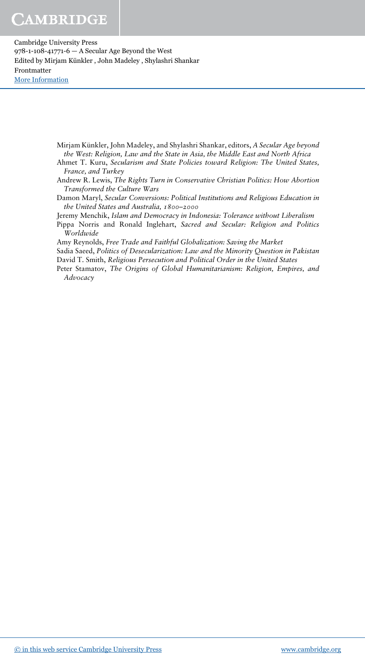Cambridge University Press 978-1-108-41771-6 — A Secular Age Beyond the West Edited by Mirjam Künkler , John Madeley , Shylashri Shankar Frontmatter [More Information](www.cambridge.org/9781108417716)

> Mirjam Künkler, John Madeley, and Shylashri Shankar, editors, A Secular Age beyond the West: Religion, Law and the State in Asia, the Middle East and North Africa

> Ahmet T. Kuru, Secularism and State Policies toward Religion: The United States, France, and Turkey

> Andrew R. Lewis, The Rights Turn in Conservative Christian Politics: How Abortion Transformed the Culture Wars

> Damon Maryl, Secular Conversions: Political Institutions and Religious Education in the United States and Australia, *1800*–*2000*

Jeremy Menchik, Islam and Democracy in Indonesia: Tolerance without Liberalism

Pippa Norris and Ronald Inglehart, Sacred and Secular: Religion and Politics Worldwide

Amy Reynolds, Free Trade and Faithful Globalization: Saving the Market

Sadia Saeed, Politics of Desecularization: Law and the Minority Question in Pakistan David T. Smith, Religious Persecution and Political Order in the United States

Peter Stamatov, The Origins of Global Humanitarianism: Religion, Empires, and Advocacy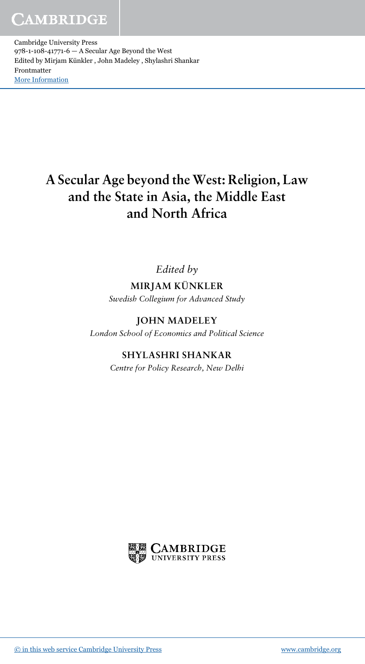Cambridge University Press 978-1-108-41771-6 — A Secular Age Beyond the West Edited by Mirjam Künkler , John Madeley , Shylashri Shankar Frontmatter [More Information](www.cambridge.org/9781108417716)

# A Secular Age beyond the West: Religion, Law and the State in Asia, the Middle East and North Africa

Edited by

## MIRJAM KÜNKLER

Swedish Collegium for Advanced Study

## JOHN MADELEY

London School of Economics and Political Science

## SHYLASHRI SHANKAR

Centre for Policy Research, New Delhi

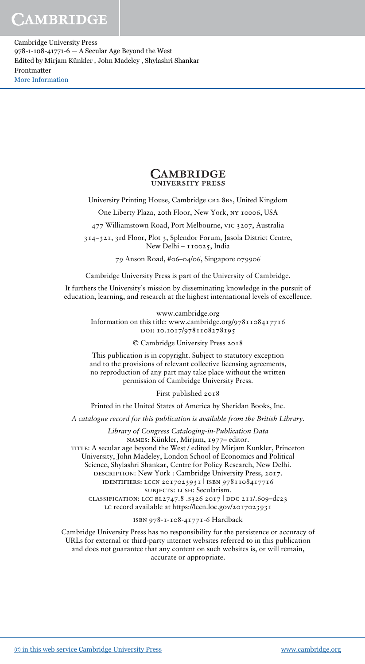Cambridge University Press 978-1-108-41771-6 — A Secular Age Beyond the West Edited by Mirjam Künkler , John Madeley , Shylashri Shankar Frontmatter [More Information](www.cambridge.org/9781108417716)

#### **CAMBRIDGE UNIVERSITY PRESS**

University Printing House, Cambridge cb2 8bs, United Kingdom

One Liberty Plaza, 20th Floor, New York, ny 10006, USA

477 Williamstown Road, Port Melbourne, vic 3207, Australia

314–321, 3rd Floor, Plot 3, Splendor Forum, Jasola District Centre, New Delhi - 110025, India

79 Anson Road, #06–04/06, Singapore 079906

Cambridge University Press is part of the University of Cambridge.

It furthers the University's mission by disseminating knowledge in the pursuit of education, learning, and research at the highest international levels of excellence.

> www.cambridge.org Information on this title: www.cambridge.org/9781108417716 doi: 10.1017/9781108278195

> > © Cambridge University Press 2018

This publication is in copyright. Subject to statutory exception and to the provisions of relevant collective licensing agreements, no reproduction of any part may take place without the written permission of Cambridge University Press.

First published 2018

Printed in the United States of America by Sheridan Books, Inc.

A catalogue record for this publication is available from the British Library.

Library of Congress Cataloging-in-Publication Data names: Künkler, Mirjam, 1977– editor.

TITLE: A secular age beyond the West / edited by Mirjam Kunkler, Princeton University, John Madeley, London School of Economics and Political Science, Shylashri Shankar, Centre for Policy Research, New Delhi. DESCRIPTION: New York : Cambridge University Press, 2017. identifiers: lccn 2017023931 | isbn 9781108417716 subjects: lcsh: Secularism.

classification: lcc bl2747.8 .s326 2017 | ddc 211/.609–dc23 LC record available at https://lccn.loc.gov/2017023931

isbn 978-1-108-41771-6 Hardback

Cambridge University Press has no responsibility for the persistence or accuracy of URLs for external or third-party internet websites referred to in this publication and does not guarantee that any content on such websites is, or will remain, accurate or appropriate.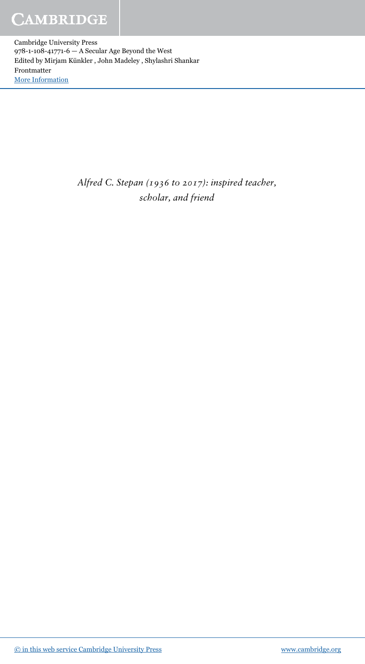Cambridge University Press 978-1-108-41771-6 — A Secular Age Beyond the West Edited by Mirjam Künkler , John Madeley , Shylashri Shankar Frontmatter [More Information](www.cambridge.org/9781108417716)

> Alfred C. Stepan (*1936* to *2017*): inspired teacher, scholar, and friend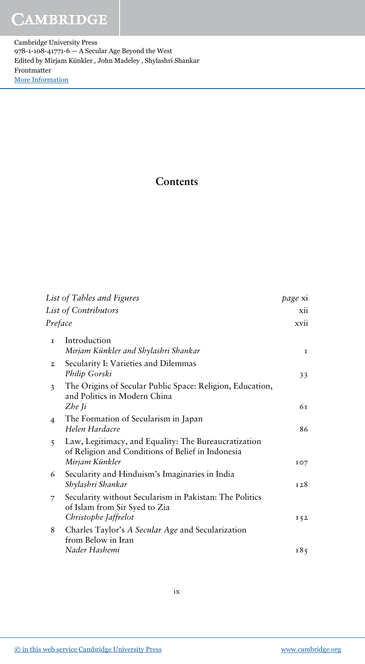Cambridge University Press 978-1-108-41771-6 — A Secular Age Beyond the West Edited by Mirjam Künkler , John Madeley , Shylashri Shankar Frontmatter [More Information](www.cambridge.org/9781108417716)

## Contents

| List of Tables and Figures                                                                                                                    | <i>page</i> xi               |
|-----------------------------------------------------------------------------------------------------------------------------------------------|------------------------------|
| List of Contributors                                                                                                                          | $\overline{x}$ <sub>11</sub> |
| Preface                                                                                                                                       |                              |
| Introduction<br>T.<br>Mirjam Künkler and Shylashri Shankar                                                                                    | $\mathbf I$                  |
| Secularity I: Varieties and Dilemmas<br>$\mathbf{2}$<br>Philip Gorski                                                                         | 33                           |
| The Origins of Secular Public Space: Religion, Education,<br>3<br>and Politics in Modern China<br>Zhe Ii                                      | 6т                           |
| The Formation of Secularism in Japan<br>$\overline{4}$<br>Helen Hardacre                                                                      | 86                           |
| Law, Legitimacy, and Equality: The Bureaucratization<br>$\overline{5}$<br>of Religion and Conditions of Belief in Indonesia<br>Mirjam Künkler | IO7                          |
| Secularity and Hinduism's Imaginaries in India<br>6<br>Shylashri Shankar                                                                      | T28                          |
| Secularity without Secularism in Pakistan: The Politics<br>7<br>of Islam from Sir Syed to Zia<br>Christophe Jaffrelot                         | 152                          |
| Charles Taylor's A Secular Age and Secularization<br>8<br>from Below in Iran<br>Nader Hashemi                                                 | 185                          |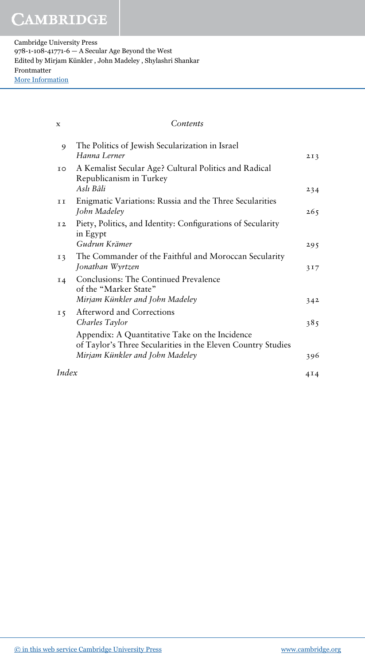| $\mathbf x$ | Contents                                                                                                                                          |            |
|-------------|---------------------------------------------------------------------------------------------------------------------------------------------------|------------|
| 9           | The Politics of Jewish Secularization in Israel<br>Hanna Lerner                                                                                   | 2I3        |
| IO          | A Kemalist Secular Age? Cultural Politics and Radical<br>Republicanism in Turkey<br>Aslı Bâli                                                     | 234        |
| <b>TT</b>   | Enigmatic Variations: Russia and the Three Secularities<br>John Madeley                                                                           | 265        |
| I2          | Piety, Politics, and Identity: Configurations of Secularity<br>in Egypt<br>Gudrun Krämer                                                          | 295        |
| I3          | The Commander of the Faithful and Moroccan Secularity<br>Jonathan Wyrtzen                                                                         | 317        |
| $I_4$       | Conclusions: The Continued Prevalence<br>of the "Marker State"                                                                                    |            |
| $I\bar{S}$  | Mirjam Künkler and John Madeley<br>Afterword and Corrections<br>Charles Taylor                                                                    | 342<br>385 |
|             | Appendix: A Quantitative Take on the Incidence<br>of Taylor's Three Secularities in the Eleven Country Studies<br>Mirjam Künkler and John Madeley |            |
| Index       |                                                                                                                                                   | 396<br>4I4 |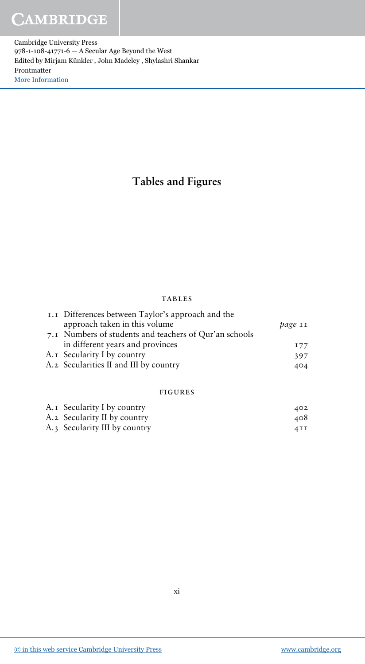# Tables and Figures

### **TABLES**

| I.I Differences between Taylor's approach and the      |         |
|--------------------------------------------------------|---------|
| approach taken in this volume                          | page 11 |
| 7.1 Numbers of students and teachers of Qur'an schools |         |
| in different years and provinces                       | I77     |
| A. <sub>I</sub> Secularity I by country                | 397     |
| A.2 Secularities II and III by country                 | 404     |

#### figures

| A. <sub>I</sub> Secularity I by country | 402   |
|-----------------------------------------|-------|
| A.2 Secularity II by country            | 408   |
| A.3 Secularity III by country           | 4 I I |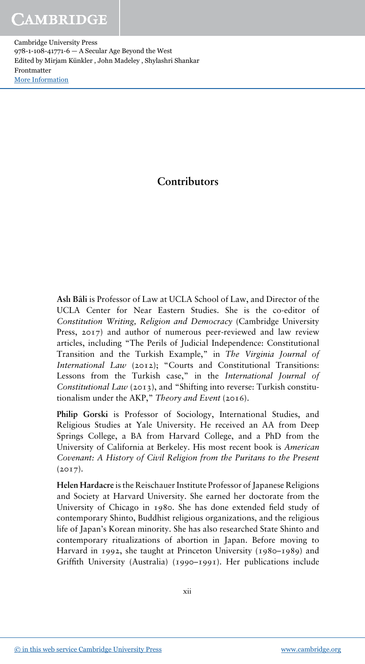# **Contributors**

Aslı Bâli is Professor of Law at UCLA School of Law, and Director of the UCLA Center for Near Eastern Studies. She is the co-editor of Constitution Writing, Religion and Democracy (Cambridge University Press, 2017) and author of numerous peer-reviewed and law review articles, including "The Perils of Judicial Independence: Constitutional Transition and the Turkish Example," in The Virginia Journal of International Law (2012); "Courts and Constitutional Transitions: Lessons from the Turkish case," in the International Journal of Constitutional Law (2013), and "Shifting into reverse: Turkish constitutionalism under the AKP," Theory and Event (2016).

Philip Gorski is Professor of Sociology, International Studies, and Religious Studies at Yale University. He received an AA from Deep Springs College, a BA from Harvard College, and a PhD from the University of California at Berkeley. His most recent book is American Covenant: A History of Civil Religion from the Puritans to the Present  $(2017).$ 

Helen Hardacre is the Reischauer Institute Professor of Japanese Religions and Society at Harvard University. She earned her doctorate from the University of Chicago in 1980. She has done extended field study of contemporary Shinto, Buddhist religious organizations, and the religious life of Japan's Korean minority. She has also researched State Shinto and contemporary ritualizations of abortion in Japan. Before moving to Harvard in 1992, she taught at Princeton University (1980–1989) and Griffith University (Australia) (1990–1991). Her publications include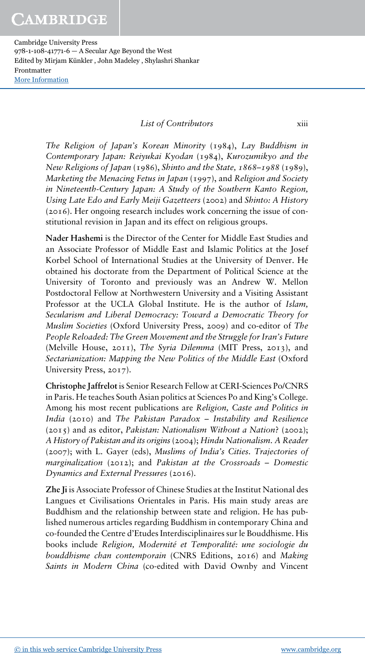### List of Contributors xiii

The Religion of Japan's Korean Minority (1984), Lay Buddhism in Contemporary Japan: Reiyukai Kyodan (1984), Kurozumikyo and the New Religions of Japan (1986), Shinto and the State, *1868*–*1988* (1989), Marketing the Menacing Fetus in Japan (1997), and Religion and Society in Nineteenth-Century Japan: A Study of the Southern Kanto Region, Using Late Edo and Early Meiji Gazetteers (2002) and Shinto: A History (2016). Her ongoing research includes work concerning the issue of constitutional revision in Japan and its effect on religious groups.

Nader Hashemi is the Director of the Center for Middle East Studies and an Associate Professor of Middle East and Islamic Politics at the Josef Korbel School of International Studies at the University of Denver. He obtained his doctorate from the Department of Political Science at the University of Toronto and previously was an Andrew W. Mellon Postdoctoral Fellow at Northwestern University and a Visiting Assistant Professor at the UCLA Global Institute. He is the author of Islam, Secularism and Liberal Democracy: Toward a Democratic Theory for Muslim Societies (Oxford University Press, 2009) and co-editor of The People Reloaded: The Green Movement and the Struggle for Iran's Future (Melville House, 2011), The Syria Dilemma (MIT Press, 2013), and Sectarianization: Mapping the New Politics of the Middle East (Oxford University Press, 2017).

Christophe Jaffrelot is Senior Research Fellow at CERI-Sciences Po/CNRS in Paris. He teaches South Asian politics at Sciences Po and King's College. Among his most recent publications are Religion, Caste and Politics in India (2010) and The Pakistan Paradox – Instability and Resilience (2015) and as editor, Pakistan: Nationalism Without a Nation? (2002); A History of Pakistan and its origins(2004); Hindu Nationalism. A Reader (2007); with L. Gayer (eds), Muslims of India's Cities. Trajectories of marginalization  $(2012)$ ; and Pakistan at the Crossroads – Domestic Dynamics and External Pressures (2016).

Zhe Ji is Associate Professor of Chinese Studies at the Institut National des Langues et Civilisations Orientales in Paris. His main study areas are Buddhism and the relationship between state and religion. He has published numerous articles regarding Buddhism in contemporary China and co-founded the Centre d'Etudes Interdisciplinaires sur le Bouddhisme. His books include Religion, Modernité et Temporalité: une sociologie du bouddhisme chan contemporain (CNRS Editions, 2016) and Making Saints in Modern China (co-edited with David Ownby and Vincent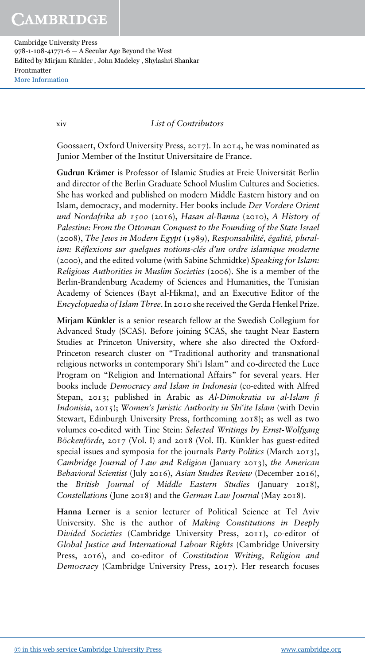Cambridge University Press 978-1-108-41771-6 — A Secular Age Beyond the West Edited by Mirjam Künkler , John Madeley , Shylashri Shankar Frontmatter [More Information](www.cambridge.org/9781108417716)

#### xiv List of Contributors

Goossaert, Oxford University Press, 2017). In 2014, he was nominated as Junior Member of the Institut Universitaire de France.

Gudrun Krämer is Professor of Islamic Studies at Freie Universität Berlin and director of the Berlin Graduate School Muslim Cultures and Societies. She has worked and published on modern Middle Eastern history and on Islam, democracy, and modernity. Her books include Der Vordere Orient und Nordafrika ab *1500* (2016), Hasan al-Banna (2010), A History of Palestine: From the Ottoman Conquest to the Founding of the State Israel (2008), The Jews in Modern Egypt (1989), Responsabilité, égalité, pluralism: Réflexions sur quelques notions-clés d'un ordre islamique moderne (2000), and the edited volume (with Sabine Schmidtke) Speaking for Islam: Religious Authorities in Muslim Societies (2006). She is a member of the Berlin-Brandenburg Academy of Sciences and Humanities, the Tunisian Academy of Sciences (Bayt al-Hikma), and an Executive Editor of the Encyclopaedia of Islam Three. In 2010 she received the Gerda Henkel Prize.

Mirjam Künkler is a senior research fellow at the Swedish Collegium for Advanced Study (SCAS). Before joining SCAS, she taught Near Eastern Studies at Princeton University, where she also directed the Oxford-Princeton research cluster on "Traditional authority and transnational religious networks in contemporary Shi'i Islam" and co-directed the Luce Program on "Religion and International Affairs" for several years. Her books include Democracy and Islam in Indonesia (co-edited with Alfred Stepan, 2013; published in Arabic as Al-Dimokratia va al-Islam fi Indonisia, 2015); Women's Juristic Authority in Shi'ite Islam (with Devin Stewart, Edinburgh University Press, forthcoming 2018); as well as two volumes co-edited with Tine Stein: Selected Writings by Ernst-Wolfgang Böckenförde, 2017 (Vol. I) and 2018 (Vol. II). Künkler has guest-edited special issues and symposia for the journals *Party Politics* (March 2013), Cambridge Journal of Law and Religion (January 2013), the American Behavioral Scientist (July 2016), Asian Studies Review (December 2016), the British Journal of Middle Eastern Studies (January 2018), Constellations (June 2018) and the German Law Journal (May 2018).

Hanna Lerner is a senior lecturer of Political Science at Tel Aviv University. She is the author of Making Constitutions in Deeply Divided Societies (Cambridge University Press, 2011), co-editor of Global Justice and International Labour Rights (Cambridge University Press, 2016), and co-editor of Constitution Writing, Religion and Democracy (Cambridge University Press, 2017). Her research focuses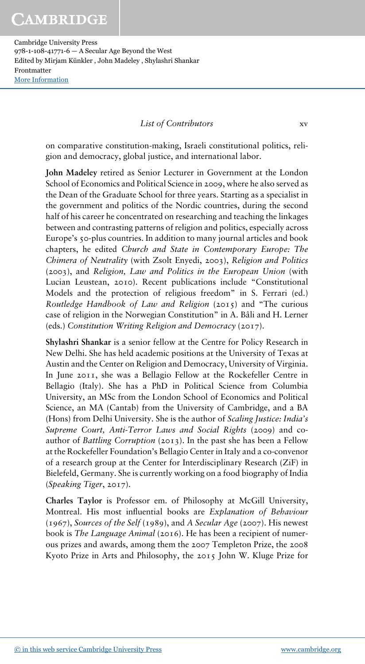### List of Contributors xv

on comparative constitution-making, Israeli constitutional politics, religion and democracy, global justice, and international labor.

John Madeley retired as Senior Lecturer in Government at the London School of Economics and Political Science in 2009, where he also served as the Dean of the Graduate School for three years. Starting as a specialist in the government and politics of the Nordic countries, during the second half of his career he concentrated on researching and teaching the linkages between and contrasting patterns of religion and politics, especially across Europe's 50-plus countries. In addition to many journal articles and book chapters, he edited Church and State in Contemporary Europe: The Chimera of Neutrality (with Zsolt Enyedi, 2003), Religion and Politics (2003), and Religion, Law and Politics in the European Union (with Lucian Leustean, 2010). Recent publications include "Constitutional Models and the protection of religious freedom" in S. Ferrari (ed.) Routledge Handbook of Law and Religion (2015) and "The curious case of religion in the Norwegian Constitution" in A. Bâli and H. Lerner (eds.) Constitution Writing Religion and Democracy (2017).

Shylashri Shankar is a senior fellow at the Centre for Policy Research in New Delhi. She has held academic positions at the University of Texas at Austin and the Center on Religion and Democracy, University of Virginia. In June 2011, she was a Bellagio Fellow at the Rockefeller Centre in Bellagio (Italy). She has a PhD in Political Science from Columbia University, an MSc from the London School of Economics and Political Science, an MA (Cantab) from the University of Cambridge, and a BA (Hons) from Delhi University. She is the author of Scaling Justice: India's Supreme Court, Anti-Terror Laws and Social Rights (2009) and coauthor of Battling Corruption (2013). In the past she has been a Fellow at the Rockefeller Foundation's Bellagio Center in Italy and a co-convenor of a research group at the Center for Interdisciplinary Research (ZiF) in Bielefeld, Germany. She is currently working on a food biography of India (Speaking Tiger, 2017).

Charles Taylor is Professor em. of Philosophy at McGill University, Montreal. His most influential books are Explanation of Behaviour (1967), Sources of the Self (1989), and A Secular Age (2007). His newest book is The Language Animal (2016). He has been a recipient of numerous prizes and awards, among them the 2007 Templeton Prize, the 2008 Kyoto Prize in Arts and Philosophy, the 2015 John W. Kluge Prize for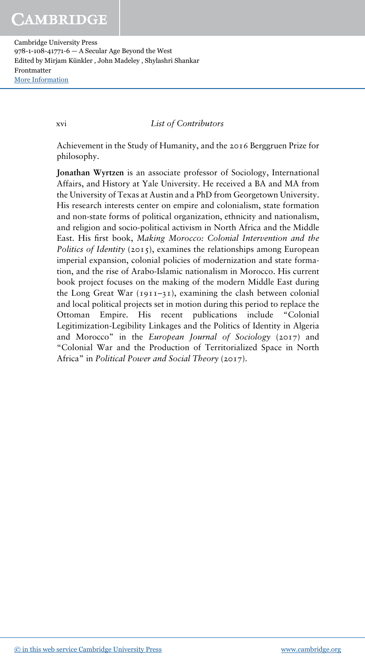xvi List of Contributors

Achievement in the Study of Humanity, and the 2016 Berggruen Prize for philosophy.

Jonathan Wyrtzen is an associate professor of Sociology, International Affairs, and History at Yale University. He received a BA and MA from the University of Texas at Austin and a PhD from Georgetown University. His research interests center on empire and colonialism, state formation and non-state forms of political organization, ethnicity and nationalism, and religion and socio-political activism in North Africa and the Middle East. His first book, Making Morocco: Colonial Intervention and the Politics of Identity (2015), examines the relationships among European imperial expansion, colonial policies of modernization and state formation, and the rise of Arabo-Islamic nationalism in Morocco. His current book project focuses on the making of the modern Middle East during the Long Great War  $(1911-31)$ , examining the clash between colonial and local political projects set in motion during this period to replace the Ottoman Empire. His recent publications include "Colonial Legitimization-Legibility Linkages and the Politics of Identity in Algeria and Morocco" in the European Journal of Sociology (2017) and "Colonial War and the Production of Territorialized Space in North Africa" in Political Power and Social Theory (2017).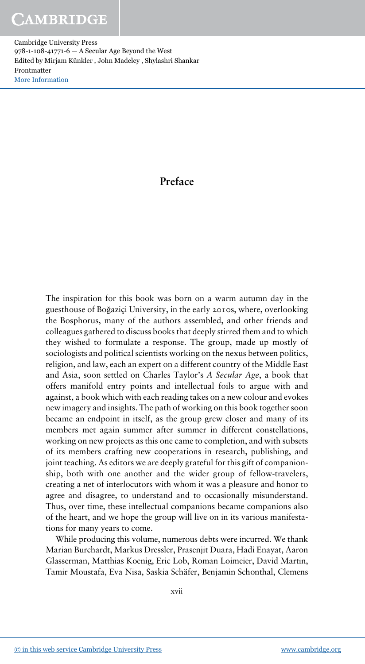# Preface

The inspiration for this book was born on a warm autumn day in the guesthouse of Boğaziçi University, in the early 2010s, where, overlooking the Bosphorus, many of the authors assembled, and other friends and colleagues gathered to discuss books that deeply stirred them and to which they wished to formulate a response. The group, made up mostly of sociologists and political scientists working on the nexus between politics, religion, and law, each an expert on a different country of the Middle East and Asia, soon settled on Charles Taylor's A Secular Age, a book that offers manifold entry points and intellectual foils to argue with and against, a book which with each reading takes on a new colour and evokes new imagery and insights. The path of working on this book together soon became an endpoint in itself, as the group grew closer and many of its members met again summer after summer in different constellations, working on new projects as this one came to completion, and with subsets of its members crafting new cooperations in research, publishing, and joint teaching. As editors we are deeply grateful for this gift of companionship, both with one another and the wider group of fellow-travelers, creating a net of interlocutors with whom it was a pleasure and honor to agree and disagree, to understand and to occasionally misunderstand. Thus, over time, these intellectual companions became companions also of the heart, and we hope the group will live on in its various manifestations for many years to come.

While producing this volume, numerous debts were incurred. We thank Marian Burchardt, Markus Dressler, Prasenjit Duara, Hadi Enayat, Aaron Glasserman, Matthias Koenig, Eric Lob, Roman Loimeier, David Martin, Tamir Moustafa, Eva Nisa, Saskia Schäfer, Benjamin Schonthal, Clemens

xvii